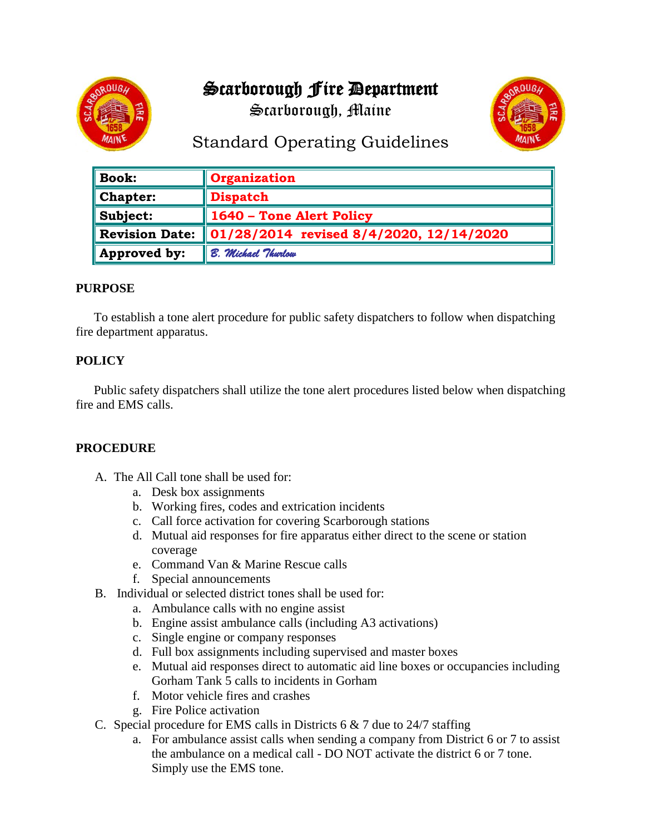# Scarborough Fire Department

Scarborough, Maine





## Standard Operating Guidelines

| $\parallel$ Book:           | Organization                            |
|-----------------------------|-----------------------------------------|
| $\blacksquare$ Chapter:     | <b>Dispatch</b>                         |
| $\blacksquare$ Subject:     | 1640 - Tone Alert Policy                |
| Revision Date:              | 01/28/2014 revised 8/4/2020, 12/14/2020 |
| $\blacksquare$ Approved by: | B. Michael Thurlow                      |

### **PURPOSE**

To establish a tone alert procedure for public safety dispatchers to follow when dispatching fire department apparatus.

## **POLICY**

Public safety dispatchers shall utilize the tone alert procedures listed below when dispatching fire and EMS calls.

### **PROCEDURE**

- A. The All Call tone shall be used for:
	- a. Desk box assignments
	- b. Working fires, codes and extrication incidents
	- c. Call force activation for covering Scarborough stations
	- d. Mutual aid responses for fire apparatus either direct to the scene or station coverage
	- e. Command Van & Marine Rescue calls
	- f. Special announcements
- B. Individual or selected district tones shall be used for:
	- a. Ambulance calls with no engine assist
	- b. Engine assist ambulance calls (including A3 activations)
	- c. Single engine or company responses
	- d. Full box assignments including supervised and master boxes
	- e. Mutual aid responses direct to automatic aid line boxes or occupancies including Gorham Tank 5 calls to incidents in Gorham
	- f. Motor vehicle fires and crashes
	- g. Fire Police activation
- C. Special procedure for EMS calls in Districts  $6 & 7$  due to 24/7 staffing
	- a. For ambulance assist calls when sending a company from District 6 or 7 to assist the ambulance on a medical call - DO NOT activate the district 6 or 7 tone. Simply use the EMS tone.